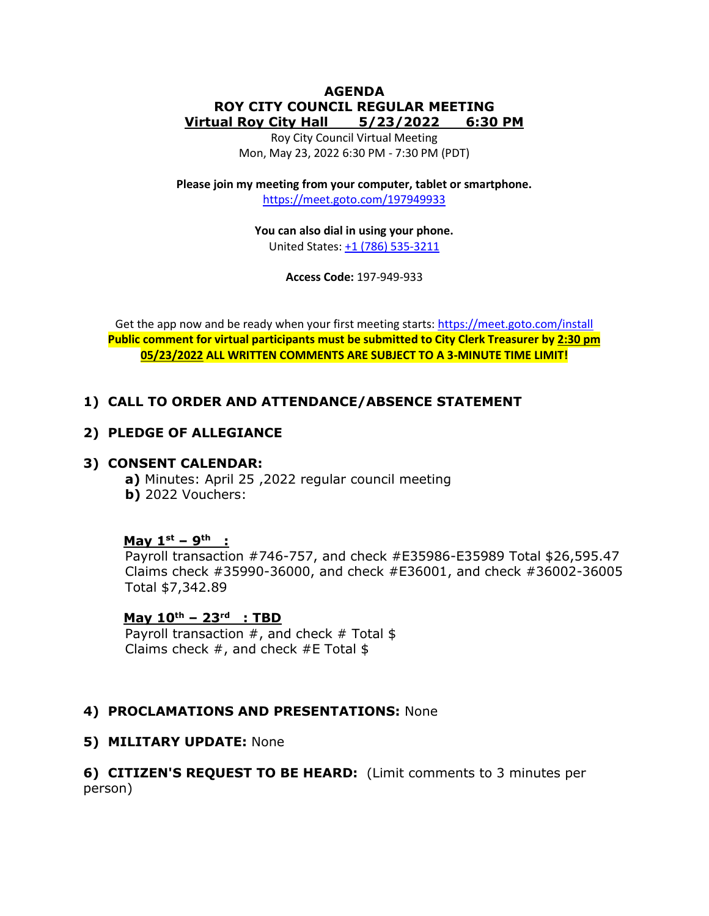### **AGENDA ROY CITY COUNCIL REGULAR MEETING Virtual Roy City Hall 5/23/2022 6:30 PM**

Roy City Council Virtual Meeting Mon, May 23, 2022 6:30 PM - 7:30 PM (PDT)

**Please join my meeting from your computer, tablet or smartphone.**  <https://meet.goto.com/197949933>

> **You can also dial in using your phone.** United States: [+1 \(786\) 535-3211](tel:+17865353211,,197949933)

> > **Access Code:** 197-949-933

Get the app now and be ready when your first meeting starts:<https://meet.goto.com/install> **Public comment for virtual participants must be submitted to City Clerk Treasurer by 2:30 pm 05/23/2022 ALL WRITTEN COMMENTS ARE SUBJECT TO A 3-MINUTE TIME LIMIT!**

# **1) CALL TO ORDER AND ATTENDANCE/ABSENCE STATEMENT**

# **2) PLEDGE OF ALLEGIANCE**

# **3) CONSENT CALENDAR:**

**a)** Minutes: April 25 ,2022 regular council meeting **b)** 2022 Vouchers:

# **May 1 st – 9 th :**

Payroll transaction #746-757, and check #E35986-E35989 Total \$26,595.47 Claims check #35990-36000, and check #E36001, and check #36002-36005 Total \$7,342.89

# **May 10th – 23 rd : TBD**

Payroll transaction  $#$ , and check  $#$  Total \$ Claims check  $#$ , and check  $#E$  Total \$

# **4) PROCLAMATIONS AND PRESENTATIONS:** None

# **5) MILITARY UPDATE:** None

# **6) CITIZEN'S REQUEST TO BE HEARD:** (Limit comments to 3 minutes per person)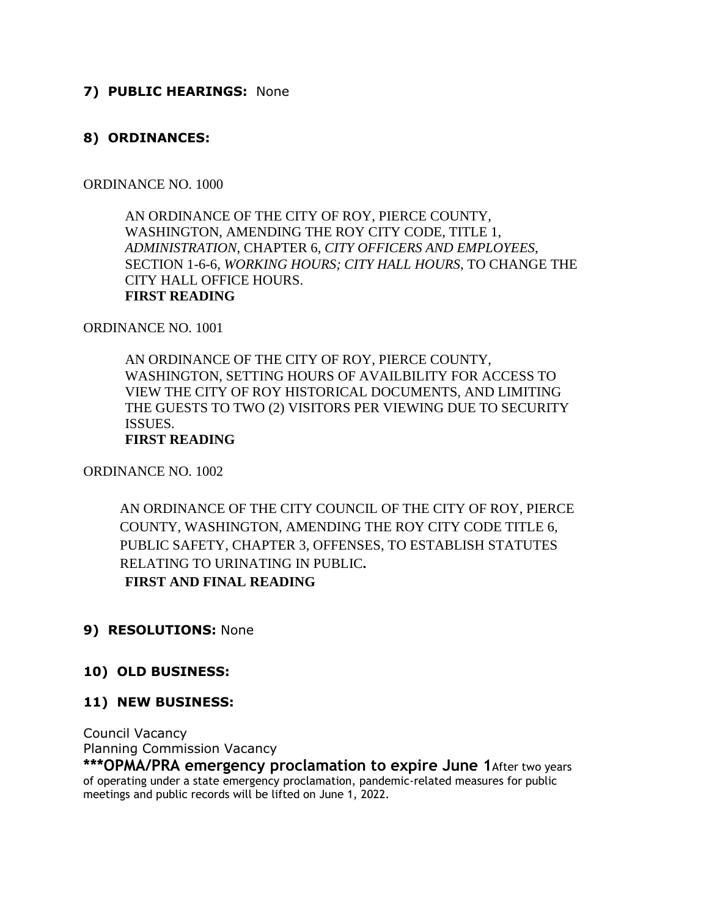# **7) PUBLIC HEARINGS:** None

# **8) ORDINANCES:**

### ORDINANCE NO. 1000

AN ORDINANCE OF THE CITY OF ROY, PIERCE COUNTY, WASHINGTON, AMENDING THE ROY CITY CODE, TITLE 1, *ADMINISTRATION*, CHAPTER 6, *CITY OFFICERS AND EMPLOYEES*, SECTION 1-6-6, *WORKING HOURS; CITY HALL HOURS*, TO CHANGE THE CITY HALL OFFICE HOURS. **FIRST READING** 

ORDINANCE NO. 1001

AN ORDINANCE OF THE CITY OF ROY, PIERCE COUNTY, WASHINGTON, SETTING HOURS OF AVAILBILITY FOR ACCESS TO VIEW THE CITY OF ROY HISTORICAL DOCUMENTS, AND LIMITING THE GUESTS TO TWO (2) VISITORS PER VIEWING DUE TO SECURITY ISSUES. **FIRST READING**

ORDINANCE NO. 1002

AN ORDINANCE OF THE CITY COUNCIL OF THE CITY OF ROY, PIERCE COUNTY, WASHINGTON, AMENDING THE ROY CITY CODE TITLE 6, PUBLIC SAFETY, CHAPTER 3, OFFENSES, TO ESTABLISH STATUTES RELATING TO URINATING IN PUBLIC**. FIRST AND FINAL READING**

# **9) RESOLUTIONS:** None

# **10) OLD BUSINESS:**

# **11) NEW BUSINESS:**

Council Vacancy Planning Commission Vacancy

**\*\*\*OPMA/PRA emergency proclamation to expire June 1 After two years** of operating under a state emergency proclamation, pandemic-related measures for public meetings and public records will be lifted on June 1, 2022.